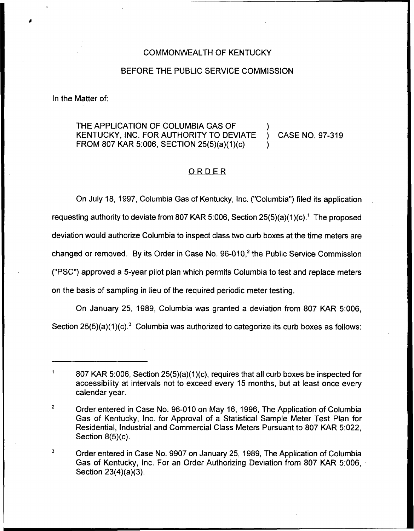## COMMONWEALTH OF KENTUCKY

#### BEFORE THE PUBLIC SERVICE COMMISSION

In the Matter of:

# THE APPLICATION OF COLUMBIA GAS OF KENTUCKY, INC. FOR AUTHORITY TO DEVIATE ) CASE NO. 97-319 FROM 807 KAR 5:006, SECTION 25(5)(a)(1)(c) )

# ORDER

On July 18, 1997, Columbia Gas of Kentucky, Inc. ("Columbia") filed its applicatio requesting authority to deviate from 807 KAR 5:006, Section  $25(5)(a)(1)(c)$ .<sup>1</sup> The proposed deviation would authorize Columbia to inspect class two curb boxes at the time meters are changed or removed. By its Order in Case No. 96-010,<sup>2</sup> the Public Service Commission ("PSC")approved a 5-year pilot plan which permits Columbia to test and replace meters on the basis of sampling in lieu of the required periodic meter testing.

On January 25, 1989, Columbia was granted a deviation from 807 KAR 5:006,

Section  $25(5)(a)(1)(c)<sup>3</sup>$  Columbia was authorized to categorize its curb boxes as follows:

<sup>807</sup> KAR 5:006, Section 25(5)(a)(1)(c), requires that all curb boxes be inspected for accessibility at intervals not to exceed every 15 months, but at least once every calendar year.

 $\overline{2}$ Order entered in Case No. 96-010 on May 16, 1996, The Application of Columbia Gas of Kentucky, Inc. for Approval of a Statistical Sample Meter Test Plan for Residential, Industrial and Commercial Class Meters Pursuant to 807 KAR 5:022, Section 8(5)(c).

 $\overline{\mathbf{3}}$ Order entered in Case No. 9907 on January 25, 1989, The Application of Columbia Gas of Kentucky, Inc. For an Order Authorizing Deviation from 807 KAR 5:006, Section 23(4)(a)(3).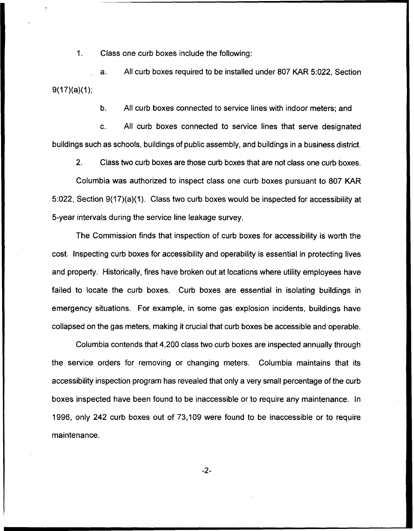$1.$ Class one curb boxes include the following:

a. All curb boxes required to be installed under 807 KAR 5:022, Section  $9(17)(a)(1);$ 

b. All curb boxes connected to service lines with indoor meters; and

c. All curb boxes connected to service lines that serve designated buildings such as schools, buildings of public assembly, and buildings in a business district.

2. Class two curb boxes are those curb boxes that are not class one curb boxes. Columbia was authorized to inspect class one curb boxes pursuant to 80? KAR 5:022, Section 9(17)(a)(1). Class two curb boxes would be inspected for accessibility at 5-year intervals during the service line leakage survey.

The Commission finds that inspection of curb boxes for accessibility is worth the cost. Inspecting curb boxes for accessibility and operability is essential in protecting lives and property, Historically, fires have broken out at locations where utility employees have failed to locate the curb boxes. Curb boxes are essential in isolating buildings in emergency situations. For example, in some gas explosion incidents, buildings have collapsed on the gas meters, making it crucial that curb boxes be accessible and operable.

Columbia contends that 4,200 class two curb boxes are inspected annually through the service orders for removing or changing meters. Columbia maintains that its accessibility inspection program has revealed that only a very small percentage of the curb boxes inspected have been found to be inaccessible or to require any maintenance. In 1996, only 242 curb boxes out of 73,109 were found to be inaccessible or to require maintenance.

 $-2-$